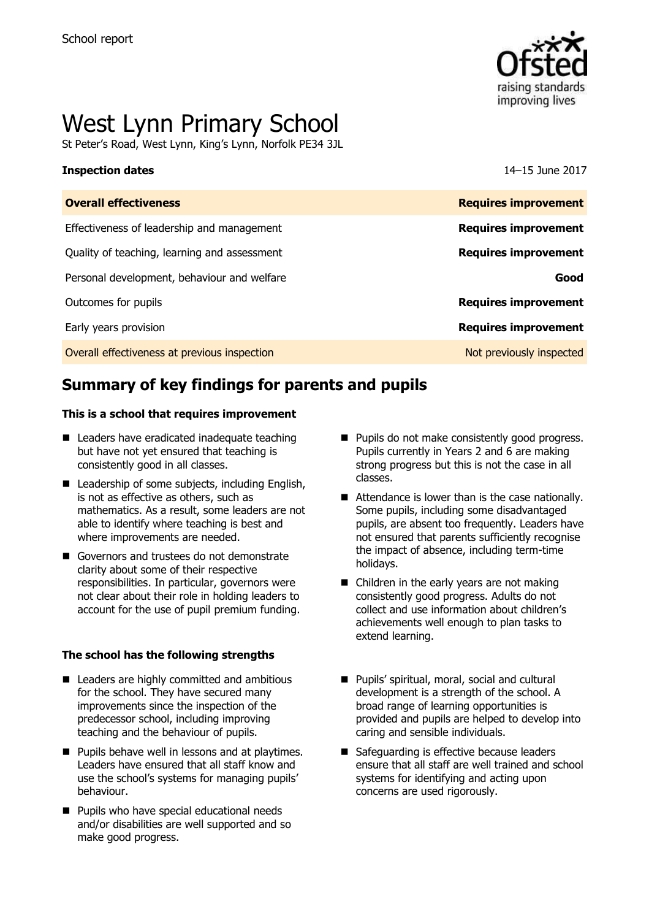

# West Lynn Primary School

St Peter's Road, West Lynn, King's Lynn, Norfolk PE34 3JL

### **Inspection dates** 14–15 June 2017

| <b>Overall effectiveness</b>                 | <b>Requires improvement</b> |
|----------------------------------------------|-----------------------------|
| Effectiveness of leadership and management   | <b>Requires improvement</b> |
| Quality of teaching, learning and assessment | <b>Requires improvement</b> |
| Personal development, behaviour and welfare  | Good                        |
| Outcomes for pupils                          | <b>Requires improvement</b> |
| Early years provision                        | <b>Requires improvement</b> |
| Overall effectiveness at previous inspection | Not previously inspected    |
|                                              |                             |

# **Summary of key findings for parents and pupils**

### **This is a school that requires improvement**

- Leaders have eradicated inadequate teaching but have not yet ensured that teaching is consistently good in all classes.
- Leadership of some subiects, including English, is not as effective as others, such as mathematics. As a result, some leaders are not able to identify where teaching is best and where improvements are needed.
- Governors and trustees do not demonstrate clarity about some of their respective responsibilities. In particular, governors were not clear about their role in holding leaders to account for the use of pupil premium funding.

### **The school has the following strengths**

- Leaders are highly committed and ambitious for the school. They have secured many improvements since the inspection of the predecessor school, including improving teaching and the behaviour of pupils.
- **Pupils behave well in lessons and at playtimes.** Leaders have ensured that all staff know and use the school's systems for managing pupils' behaviour.
- **Pupils who have special educational needs** and/or disabilities are well supported and so make good progress.
- Pupils do not make consistently good progress. Pupils currently in Years 2 and 6 are making strong progress but this is not the case in all classes.
- Attendance is lower than is the case nationally. Some pupils, including some disadvantaged pupils, are absent too frequently. Leaders have not ensured that parents sufficiently recognise the impact of absence, including term-time holidays.
- Children in the early years are not making consistently good progress. Adults do not collect and use information about children's achievements well enough to plan tasks to extend learning.
- Pupils' spiritual, moral, social and cultural development is a strength of the school. A broad range of learning opportunities is provided and pupils are helped to develop into caring and sensible individuals.
- Safeguarding is effective because leaders ensure that all staff are well trained and school systems for identifying and acting upon concerns are used rigorously.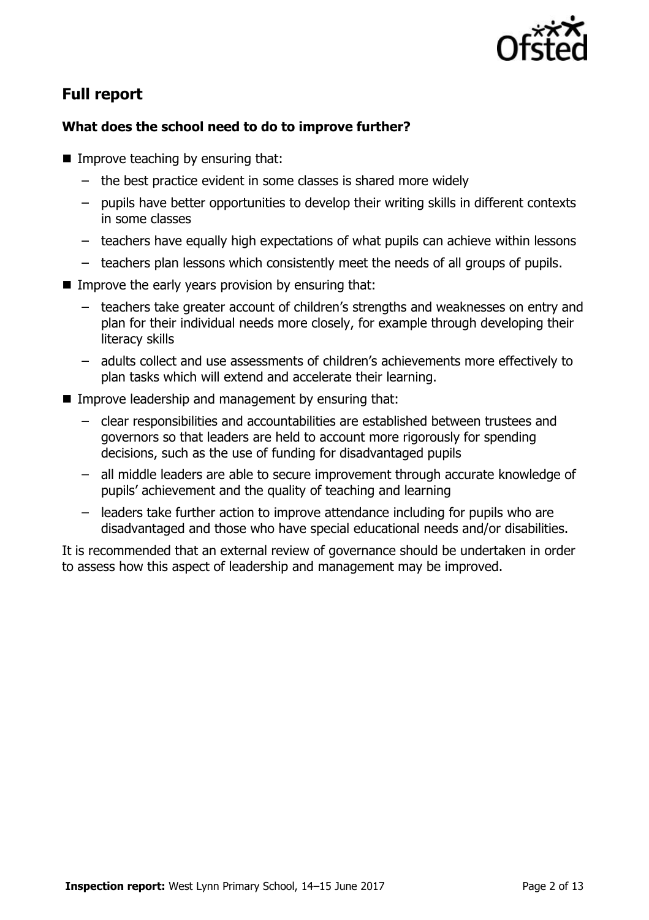

## **Full report**

### **What does the school need to do to improve further?**

- **Improve teaching by ensuring that:** 
	- the best practice evident in some classes is shared more widely
	- pupils have better opportunities to develop their writing skills in different contexts in some classes
	- teachers have equally high expectations of what pupils can achieve within lessons
	- teachers plan lessons which consistently meet the needs of all groups of pupils.
- Improve the early years provision by ensuring that:
	- teachers take greater account of children's strengths and weaknesses on entry and plan for their individual needs more closely, for example through developing their literacy skills
	- adults collect and use assessments of children's achievements more effectively to plan tasks which will extend and accelerate their learning.
- **IMPROVE LEADERSHIP and management by ensuring that:** 
	- clear responsibilities and accountabilities are established between trustees and governors so that leaders are held to account more rigorously for spending decisions, such as the use of funding for disadvantaged pupils
	- all middle leaders are able to secure improvement through accurate knowledge of pupils' achievement and the quality of teaching and learning
	- leaders take further action to improve attendance including for pupils who are disadvantaged and those who have special educational needs and/or disabilities.

It is recommended that an external review of governance should be undertaken in order to assess how this aspect of leadership and management may be improved.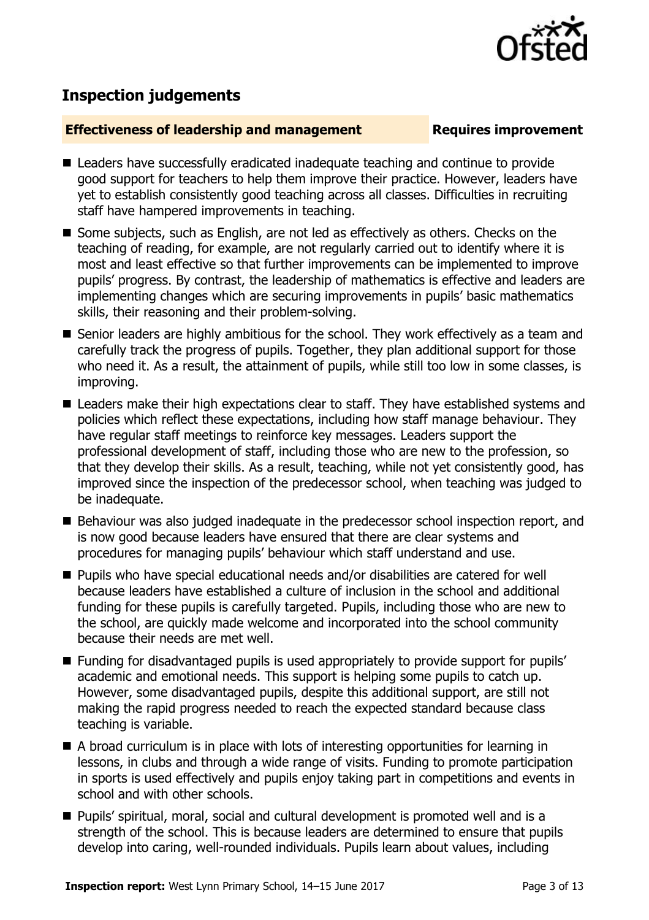

# **Inspection judgements**

### **Effectiveness of leadership and management Requires improvement**

- Leaders have successfully eradicated inadequate teaching and continue to provide good support for teachers to help them improve their practice. However, leaders have yet to establish consistently good teaching across all classes. Difficulties in recruiting staff have hampered improvements in teaching.
- Some subjects, such as English, are not led as effectively as others. Checks on the teaching of reading, for example, are not regularly carried out to identify where it is most and least effective so that further improvements can be implemented to improve pupils' progress. By contrast, the leadership of mathematics is effective and leaders are implementing changes which are securing improvements in pupils' basic mathematics skills, their reasoning and their problem-solving.
- Senior leaders are highly ambitious for the school. They work effectively as a team and carefully track the progress of pupils. Together, they plan additional support for those who need it. As a result, the attainment of pupils, while still too low in some classes, is improving.
- Leaders make their high expectations clear to staff. They have established systems and policies which reflect these expectations, including how staff manage behaviour. They have regular staff meetings to reinforce key messages. Leaders support the professional development of staff, including those who are new to the profession, so that they develop their skills. As a result, teaching, while not yet consistently good, has improved since the inspection of the predecessor school, when teaching was judged to be inadequate.
- Behaviour was also judged inadequate in the predecessor school inspection report, and is now good because leaders have ensured that there are clear systems and procedures for managing pupils' behaviour which staff understand and use.
- Pupils who have special educational needs and/or disabilities are catered for well because leaders have established a culture of inclusion in the school and additional funding for these pupils is carefully targeted. Pupils, including those who are new to the school, are quickly made welcome and incorporated into the school community because their needs are met well.
- Funding for disadvantaged pupils is used appropriately to provide support for pupils' academic and emotional needs. This support is helping some pupils to catch up. However, some disadvantaged pupils, despite this additional support, are still not making the rapid progress needed to reach the expected standard because class teaching is variable.
- A broad curriculum is in place with lots of interesting opportunities for learning in lessons, in clubs and through a wide range of visits. Funding to promote participation in sports is used effectively and pupils enjoy taking part in competitions and events in school and with other schools.
- Pupils' spiritual, moral, social and cultural development is promoted well and is a strength of the school. This is because leaders are determined to ensure that pupils develop into caring, well-rounded individuals. Pupils learn about values, including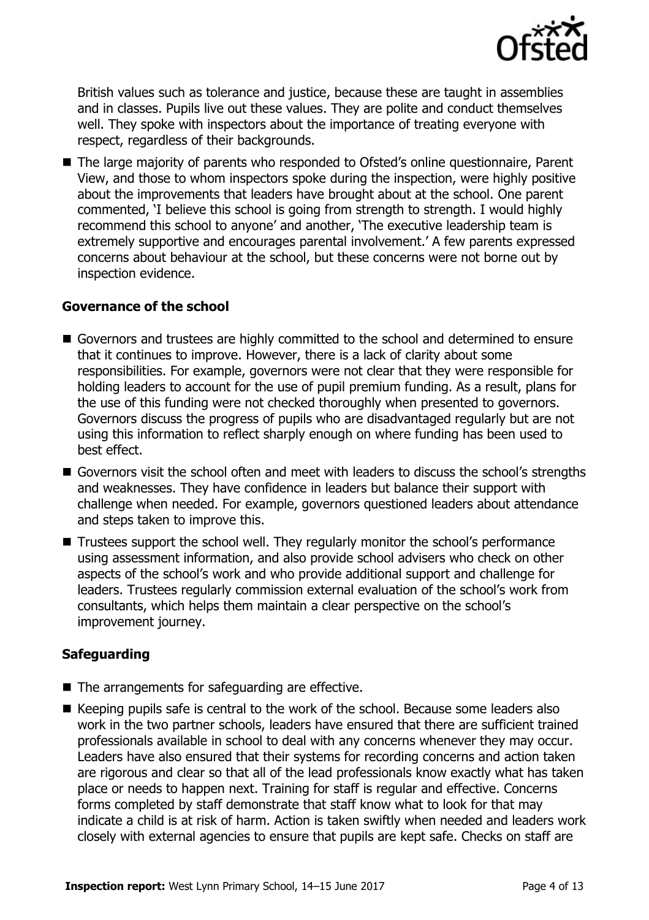

British values such as tolerance and justice, because these are taught in assemblies and in classes. Pupils live out these values. They are polite and conduct themselves well. They spoke with inspectors about the importance of treating everyone with respect, regardless of their backgrounds.

■ The large majority of parents who responded to Ofsted's online questionnaire, Parent View, and those to whom inspectors spoke during the inspection, were highly positive about the improvements that leaders have brought about at the school. One parent commented, 'I believe this school is going from strength to strength. I would highly recommend this school to anyone' and another, 'The executive leadership team is extremely supportive and encourages parental involvement.' A few parents expressed concerns about behaviour at the school, but these concerns were not borne out by inspection evidence.

### **Governance of the school**

- Governors and trustees are highly committed to the school and determined to ensure that it continues to improve. However, there is a lack of clarity about some responsibilities. For example, governors were not clear that they were responsible for holding leaders to account for the use of pupil premium funding. As a result, plans for the use of this funding were not checked thoroughly when presented to governors. Governors discuss the progress of pupils who are disadvantaged regularly but are not using this information to reflect sharply enough on where funding has been used to best effect.
- Governors visit the school often and meet with leaders to discuss the school's strengths and weaknesses. They have confidence in leaders but balance their support with challenge when needed. For example, governors questioned leaders about attendance and steps taken to improve this.
- Trustees support the school well. They regularly monitor the school's performance using assessment information, and also provide school advisers who check on other aspects of the school's work and who provide additional support and challenge for leaders. Trustees regularly commission external evaluation of the school's work from consultants, which helps them maintain a clear perspective on the school's improvement journey.

### **Safeguarding**

- $\blacksquare$  The arrangements for safeguarding are effective.
- Keeping pupils safe is central to the work of the school. Because some leaders also work in the two partner schools, leaders have ensured that there are sufficient trained professionals available in school to deal with any concerns whenever they may occur. Leaders have also ensured that their systems for recording concerns and action taken are rigorous and clear so that all of the lead professionals know exactly what has taken place or needs to happen next. Training for staff is regular and effective. Concerns forms completed by staff demonstrate that staff know what to look for that may indicate a child is at risk of harm. Action is taken swiftly when needed and leaders work closely with external agencies to ensure that pupils are kept safe. Checks on staff are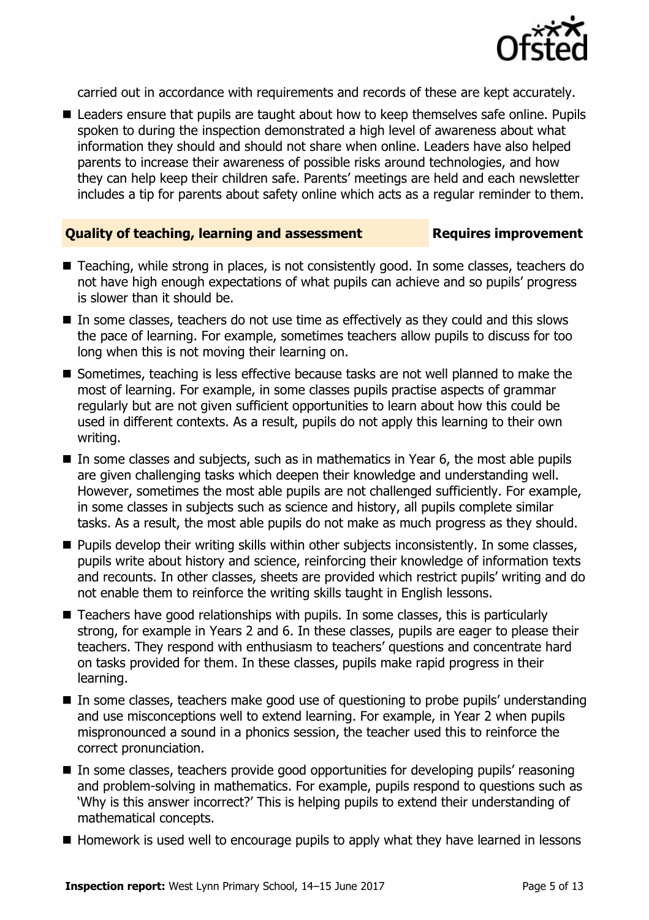

carried out in accordance with requirements and records of these are kept accurately.

■ Leaders ensure that pupils are taught about how to keep themselves safe online. Pupils spoken to during the inspection demonstrated a high level of awareness about what information they should and should not share when online. Leaders have also helped parents to increase their awareness of possible risks around technologies, and how they can help keep their children safe. Parents' meetings are held and each newsletter includes a tip for parents about safety online which acts as a regular reminder to them.

### **Quality of teaching, learning and assessment Requires improvement**

- Teaching, while strong in places, is not consistently good. In some classes, teachers do not have high enough expectations of what pupils can achieve and so pupils' progress is slower than it should be.
- In some classes, teachers do not use time as effectively as they could and this slows the pace of learning. For example, sometimes teachers allow pupils to discuss for too long when this is not moving their learning on.
- Sometimes, teaching is less effective because tasks are not well planned to make the most of learning. For example, in some classes pupils practise aspects of grammar regularly but are not given sufficient opportunities to learn about how this could be used in different contexts. As a result, pupils do not apply this learning to their own writing.
- In some classes and subjects, such as in mathematics in Year 6, the most able pupils are given challenging tasks which deepen their knowledge and understanding well. However, sometimes the most able pupils are not challenged sufficiently. For example, in some classes in subjects such as science and history, all pupils complete similar tasks. As a result, the most able pupils do not make as much progress as they should.
- **Pupils develop their writing skills within other subjects inconsistently. In some classes,** pupils write about history and science, reinforcing their knowledge of information texts and recounts. In other classes, sheets are provided which restrict pupils' writing and do not enable them to reinforce the writing skills taught in English lessons.
- Teachers have good relationships with pupils. In some classes, this is particularly strong, for example in Years 2 and 6. In these classes, pupils are eager to please their teachers. They respond with enthusiasm to teachers' questions and concentrate hard on tasks provided for them. In these classes, pupils make rapid progress in their learning.
- In some classes, teachers make good use of questioning to probe pupils' understanding and use misconceptions well to extend learning. For example, in Year 2 when pupils mispronounced a sound in a phonics session, the teacher used this to reinforce the correct pronunciation.
- In some classes, teachers provide good opportunities for developing pupils' reasoning and problem-solving in mathematics. For example, pupils respond to questions such as 'Why is this answer incorrect?' This is helping pupils to extend their understanding of mathematical concepts.
- $\blacksquare$  Homework is used well to encourage pupils to apply what they have learned in lessons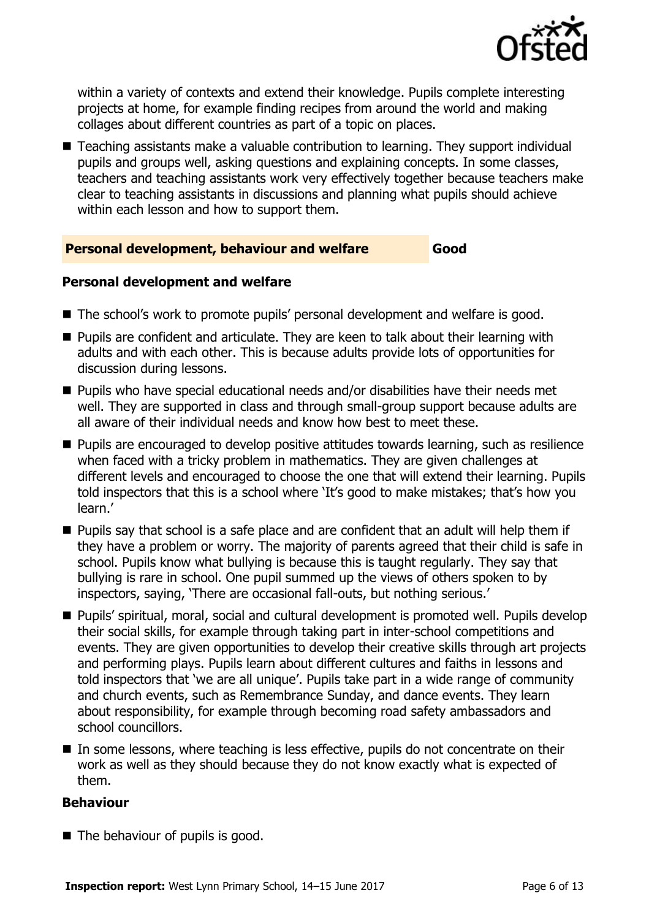![](_page_5_Picture_0.jpeg)

within a variety of contexts and extend their knowledge. Pupils complete interesting projects at home, for example finding recipes from around the world and making collages about different countries as part of a topic on places.

■ Teaching assistants make a valuable contribution to learning. They support individual pupils and groups well, asking questions and explaining concepts. In some classes, teachers and teaching assistants work very effectively together because teachers make clear to teaching assistants in discussions and planning what pupils should achieve within each lesson and how to support them.

### **Personal development, behaviour and welfare Good**

### **Personal development and welfare**

- The school's work to promote pupils' personal development and welfare is good.
- Pupils are confident and articulate. They are keen to talk about their learning with adults and with each other. This is because adults provide lots of opportunities for discussion during lessons.
- Pupils who have special educational needs and/or disabilities have their needs met well. They are supported in class and through small-group support because adults are all aware of their individual needs and know how best to meet these.
- **Pupils are encouraged to develop positive attitudes towards learning, such as resilience** when faced with a tricky problem in mathematics. They are given challenges at different levels and encouraged to choose the one that will extend their learning. Pupils told inspectors that this is a school where 'It's good to make mistakes; that's how you learn.'
- **Pupils say that school is a safe place and are confident that an adult will help them if** they have a problem or worry. The majority of parents agreed that their child is safe in school. Pupils know what bullying is because this is taught regularly. They say that bullying is rare in school. One pupil summed up the views of others spoken to by inspectors, saying, 'There are occasional fall-outs, but nothing serious.'
- Pupils' spiritual, moral, social and cultural development is promoted well. Pupils develop their social skills, for example through taking part in inter-school competitions and events. They are given opportunities to develop their creative skills through art projects and performing plays. Pupils learn about different cultures and faiths in lessons and told inspectors that 'we are all unique'. Pupils take part in a wide range of community and church events, such as Remembrance Sunday, and dance events. They learn about responsibility, for example through becoming road safety ambassadors and school councillors.
- In some lessons, where teaching is less effective, pupils do not concentrate on their work as well as they should because they do not know exactly what is expected of them.

### **Behaviour**

 $\blacksquare$  The behaviour of pupils is good.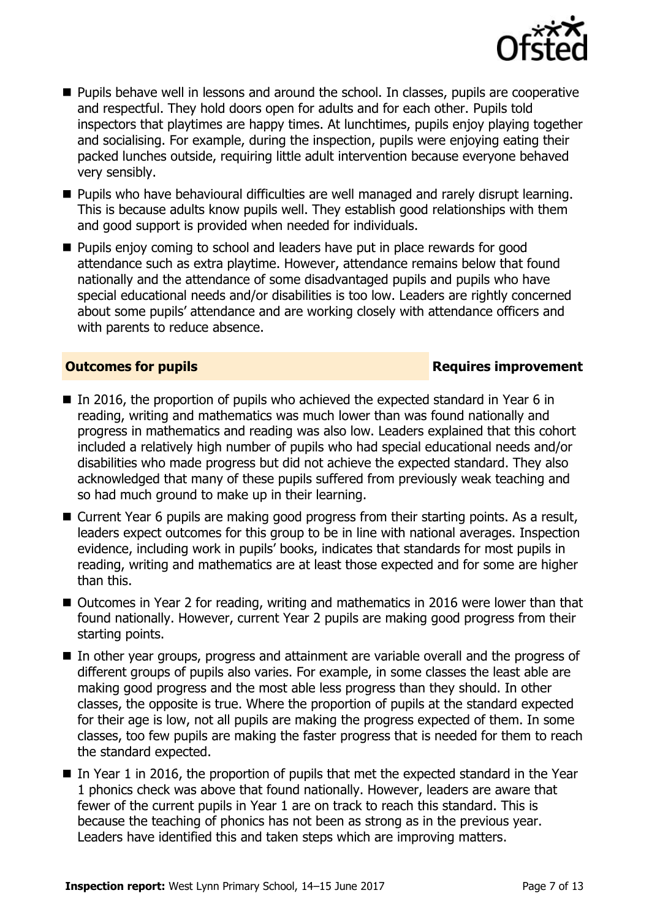![](_page_6_Picture_0.jpeg)

- **Pupils behave well in lessons and around the school. In classes, pupils are cooperative** and respectful. They hold doors open for adults and for each other. Pupils told inspectors that playtimes are happy times. At lunchtimes, pupils enjoy playing together and socialising. For example, during the inspection, pupils were enjoying eating their packed lunches outside, requiring little adult intervention because everyone behaved very sensibly.
- **Pupils who have behavioural difficulties are well managed and rarely disrupt learning.** This is because adults know pupils well. They establish good relationships with them and good support is provided when needed for individuals.
- **Pupils enjoy coming to school and leaders have put in place rewards for good** attendance such as extra playtime. However, attendance remains below that found nationally and the attendance of some disadvantaged pupils and pupils who have special educational needs and/or disabilities is too low. Leaders are rightly concerned about some pupils' attendance and are working closely with attendance officers and with parents to reduce absence.

### **Outcomes for pupils Requires improvement**

- In 2016, the proportion of pupils who achieved the expected standard in Year 6 in reading, writing and mathematics was much lower than was found nationally and progress in mathematics and reading was also low. Leaders explained that this cohort included a relatively high number of pupils who had special educational needs and/or disabilities who made progress but did not achieve the expected standard. They also acknowledged that many of these pupils suffered from previously weak teaching and so had much ground to make up in their learning.
- Current Year 6 pupils are making good progress from their starting points. As a result, leaders expect outcomes for this group to be in line with national averages. Inspection evidence, including work in pupils' books, indicates that standards for most pupils in reading, writing and mathematics are at least those expected and for some are higher than this.
- Outcomes in Year 2 for reading, writing and mathematics in 2016 were lower than that found nationally. However, current Year 2 pupils are making good progress from their starting points.
- In other year groups, progress and attainment are variable overall and the progress of different groups of pupils also varies. For example, in some classes the least able are making good progress and the most able less progress than they should. In other classes, the opposite is true. Where the proportion of pupils at the standard expected for their age is low, not all pupils are making the progress expected of them. In some classes, too few pupils are making the faster progress that is needed for them to reach the standard expected.
- In Year 1 in 2016, the proportion of pupils that met the expected standard in the Year 1 phonics check was above that found nationally. However, leaders are aware that fewer of the current pupils in Year 1 are on track to reach this standard. This is because the teaching of phonics has not been as strong as in the previous year. Leaders have identified this and taken steps which are improving matters.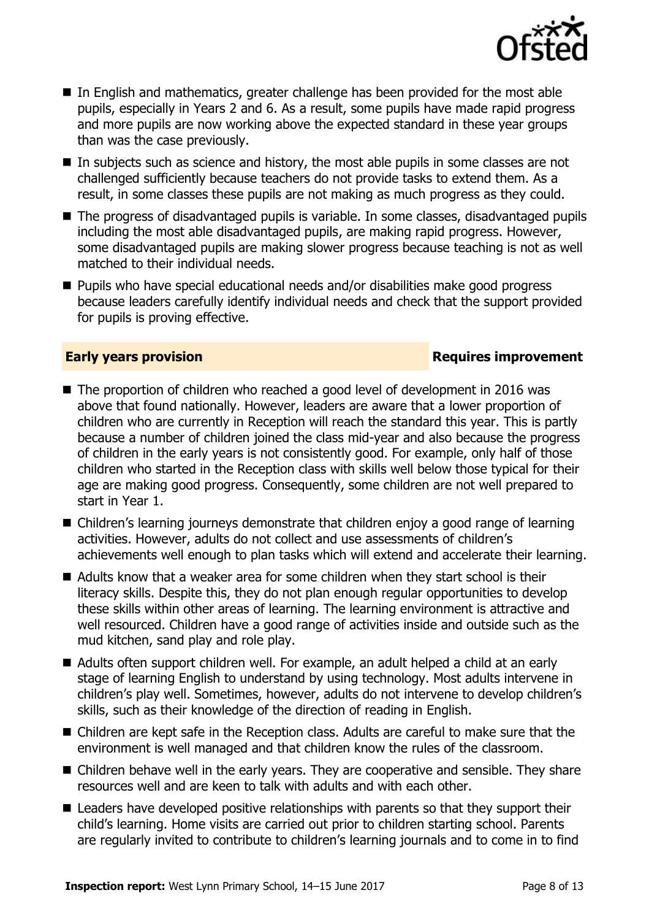![](_page_7_Picture_0.jpeg)

- In English and mathematics, greater challenge has been provided for the most able pupils, especially in Years 2 and 6. As a result, some pupils have made rapid progress and more pupils are now working above the expected standard in these year groups than was the case previously.
- In subjects such as science and history, the most able pupils in some classes are not challenged sufficiently because teachers do not provide tasks to extend them. As a result, in some classes these pupils are not making as much progress as they could.
- The progress of disadvantaged pupils is variable. In some classes, disadvantaged pupils including the most able disadvantaged pupils, are making rapid progress. However, some disadvantaged pupils are making slower progress because teaching is not as well matched to their individual needs.
- Pupils who have special educational needs and/or disabilities make good progress because leaders carefully identify individual needs and check that the support provided for pupils is proving effective.

### **Early years provision Requires improvement**

- The proportion of children who reached a good level of development in 2016 was above that found nationally. However, leaders are aware that a lower proportion of children who are currently in Reception will reach the standard this year. This is partly because a number of children joined the class mid-year and also because the progress of children in the early years is not consistently good. For example, only half of those children who started in the Reception class with skills well below those typical for their age are making good progress. Consequently, some children are not well prepared to start in Year 1.
- Children's learning journeys demonstrate that children enjoy a good range of learning activities. However, adults do not collect and use assessments of children's achievements well enough to plan tasks which will extend and accelerate their learning.
- Adults know that a weaker area for some children when they start school is their literacy skills. Despite this, they do not plan enough regular opportunities to develop these skills within other areas of learning. The learning environment is attractive and well resourced. Children have a good range of activities inside and outside such as the mud kitchen, sand play and role play.
- Adults often support children well. For example, an adult helped a child at an early stage of learning English to understand by using technology. Most adults intervene in children's play well. Sometimes, however, adults do not intervene to develop children's skills, such as their knowledge of the direction of reading in English.
- Children are kept safe in the Reception class. Adults are careful to make sure that the environment is well managed and that children know the rules of the classroom.
- Children behave well in the early years. They are cooperative and sensible. They share resources well and are keen to talk with adults and with each other.
- Leaders have developed positive relationships with parents so that they support their child's learning. Home visits are carried out prior to children starting school. Parents are regularly invited to contribute to children's learning journals and to come in to find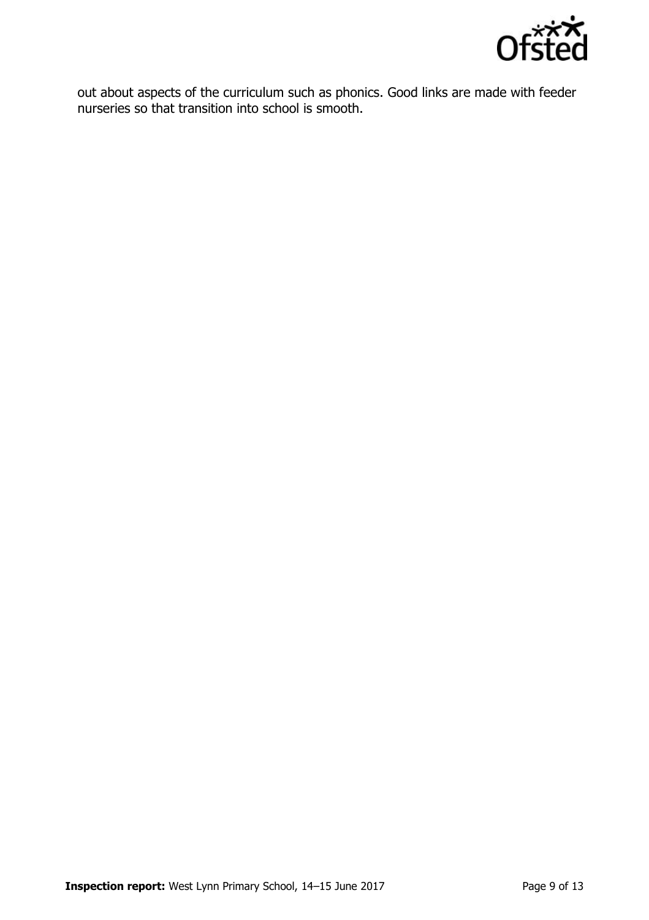![](_page_8_Picture_0.jpeg)

out about aspects of the curriculum such as phonics. Good links are made with feeder nurseries so that transition into school is smooth.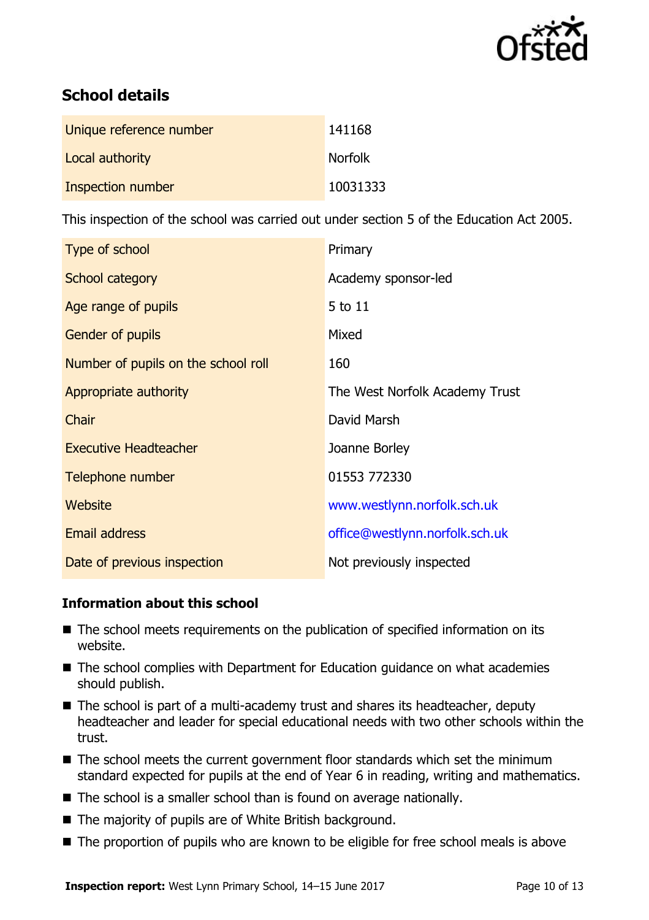![](_page_9_Picture_0.jpeg)

# **School details**

| Unique reference number | 141168         |
|-------------------------|----------------|
| Local authority         | <b>Norfolk</b> |
| Inspection number       | 10031333       |

This inspection of the school was carried out under section 5 of the Education Act 2005.

| Type of school                      | Primary                        |
|-------------------------------------|--------------------------------|
| School category                     | Academy sponsor-led            |
| Age range of pupils                 | 5 to 11                        |
| <b>Gender of pupils</b>             | Mixed                          |
| Number of pupils on the school roll | 160                            |
| Appropriate authority               | The West Norfolk Academy Trust |
| Chair                               | David Marsh                    |
| <b>Executive Headteacher</b>        | Joanne Borley                  |
| Telephone number                    | 01553 772330                   |
| Website                             | www.westlynn.norfolk.sch.uk    |
| <b>Email address</b>                | office@westlynn.norfolk.sch.uk |
| Date of previous inspection         | Not previously inspected       |

### **Information about this school**

- The school meets requirements on the publication of specified information on its website.
- The school complies with Department for Education guidance on what academies should publish.
- The school is part of a multi-academy trust and shares its headteacher, deputy headteacher and leader for special educational needs with two other schools within the trust.
- The school meets the current government floor standards which set the minimum standard expected for pupils at the end of Year 6 in reading, writing and mathematics.
- The school is a smaller school than is found on average nationally.
- The majority of pupils are of White British background.
- The proportion of pupils who are known to be eligible for free school meals is above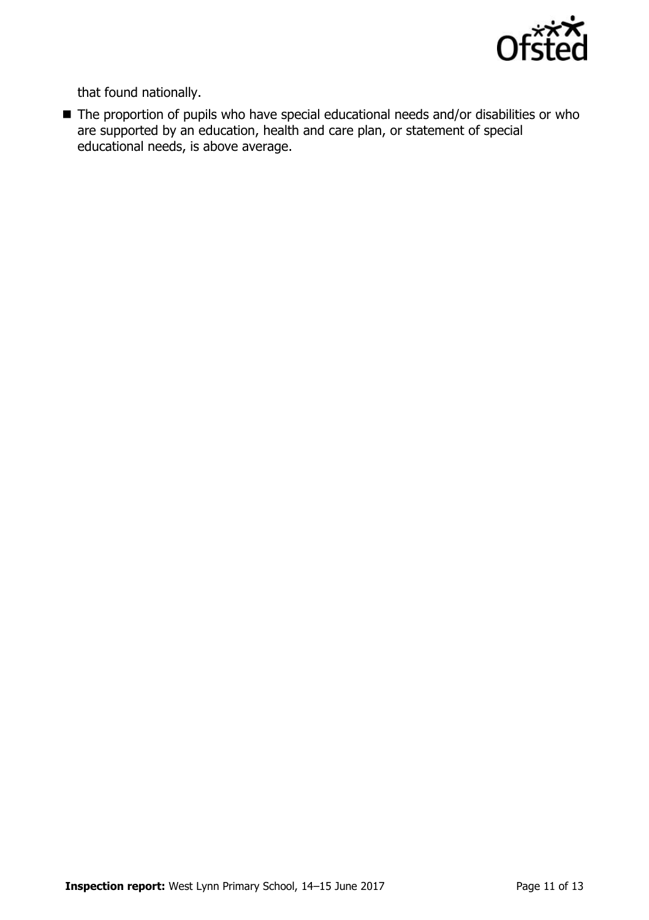![](_page_10_Picture_0.jpeg)

that found nationally.

■ The proportion of pupils who have special educational needs and/or disabilities or who are supported by an education, health and care plan, or statement of special educational needs, is above average.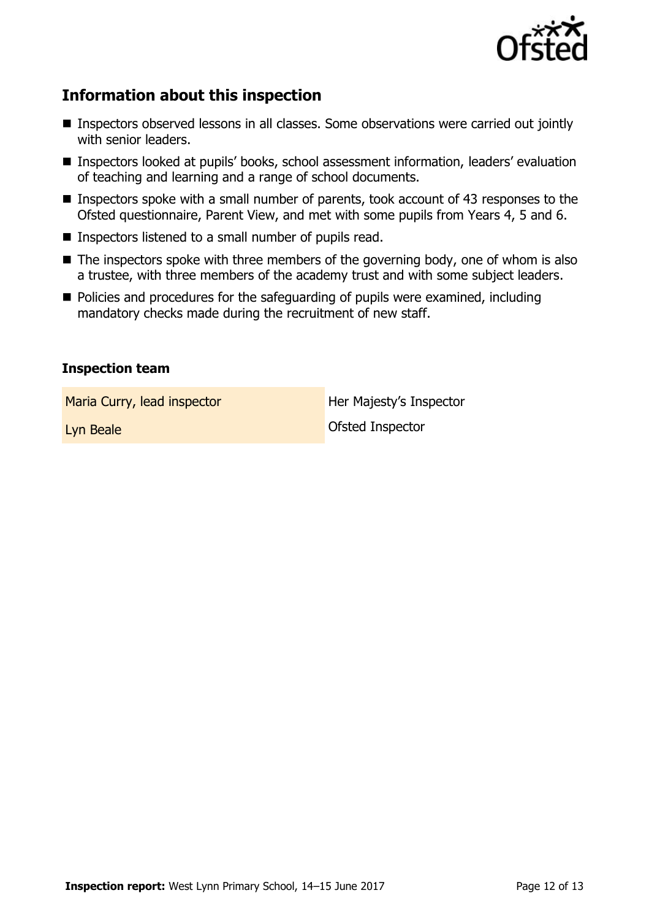![](_page_11_Picture_0.jpeg)

# **Information about this inspection**

- Inspectors observed lessons in all classes. Some observations were carried out jointly with senior leaders.
- Inspectors looked at pupils' books, school assessment information, leaders' evaluation of teaching and learning and a range of school documents.
- Inspectors spoke with a small number of parents, took account of 43 responses to the Ofsted questionnaire, Parent View, and met with some pupils from Years 4, 5 and 6.
- $\blacksquare$  Inspectors listened to a small number of pupils read.
- $\blacksquare$  The inspectors spoke with three members of the governing body, one of whom is also a trustee, with three members of the academy trust and with some subject leaders.
- Policies and procedures for the safeguarding of pupils were examined, including mandatory checks made during the recruitment of new staff.

### **Inspection team**

Maria Curry, lead inspector **Her Majesty's Inspector** 

Lyn Beale **Contract Contract Contract Contract Contract Contract Contract Contract Contract Contract Contract Contract Contract Contract Contract Contract Contract Contract Contract Contract Contract Contract Contract Cont**